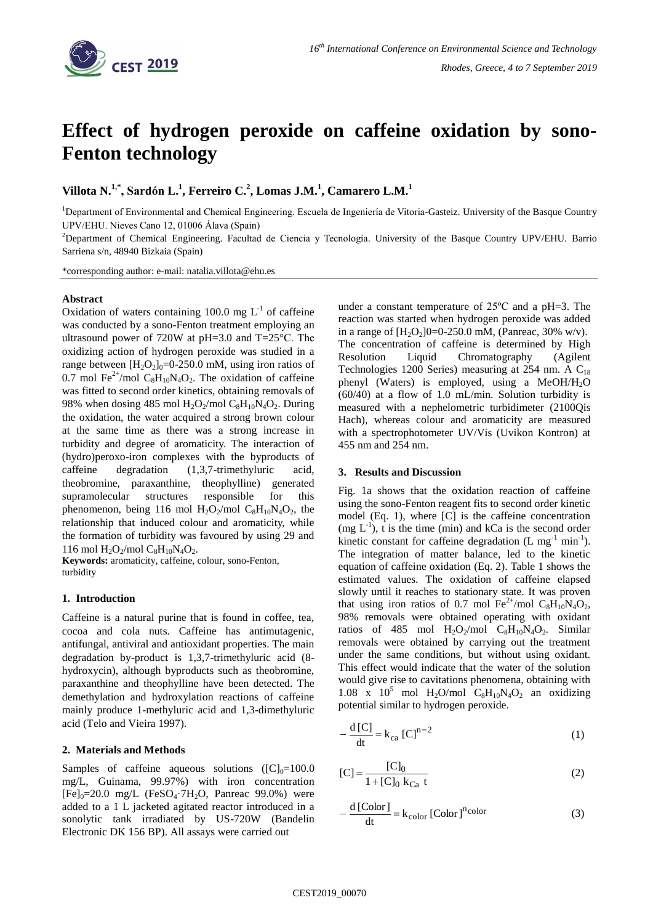

# **Effect of hydrogen peroxide on caffeine oxidation by sono-Fenton technology**

**Villota N.1,\* , Sardón L.<sup>1</sup> , Ferreiro C.<sup>2</sup> , Lomas J.M.<sup>1</sup> , Camarero L.M.<sup>1</sup>**

<sup>1</sup>Department of Environmental and Chemical Engineering. Escuela de Ingeniería de Vitoria-Gasteiz. University of the Basque Country UPV/EHU. Nieves Cano 12, 01006 Álava (Spain)

<sup>2</sup>Department of Chemical Engineering. Facultad de Ciencia y Tecnología. University of the Basque Country UPV/EHU. Barrio Sarriena s/n, 48940 Bizkaia (Spain)

\*corresponding author: e-mail: natalia.villota@ehu.es

## **Abstract**

Oxidation of waters containing 100.0 mg  $L^{-1}$  of caffeine was conducted by a sono-Fenton treatment employing an ultrasound power of 720W at pH=3.0 and T=25°C. The oxidizing action of hydrogen peroxide was studied in a range between  $[H_2O_2]_0 = 0.250.0$  mM, using iron ratios of 0.7 mol Fe<sup>2+</sup>/mol C<sub>8</sub>H<sub>10</sub>N<sub>4</sub>O<sub>2</sub>. The oxidation of caffeine was fitted to second order kinetics, obtaining removals of 98% when dosing 485 mol  $H_2O_2$ /mol  $C_8H_{10}N_4O_2$ . During the oxidation, the water acquired a strong brown colour at the same time as there was a strong increase in turbidity and degree of aromaticity. The interaction of (hydro)peroxo-iron complexes with the byproducts of caffeine degradation (1,3,7-trimethyluric acid, theobromine, paraxanthine, theophylline) generated supramolecular structures responsible for this phenomenon, being 116 mol  $H_2O_2$ /mol  $C_8H_{10}N_4O_2$ , the relationship that induced colour and aromaticity, while the formation of turbidity was favoured by using 29 and 116 mol  $H_2O_2$ /mol  $C_8H_{10}N_4O_2$ .

**Keywords:** aromaticity, caffeine, colour, sono-Fenton, turbidity

## **1. Introduction**

Caffeine is a natural purine that is found in coffee, tea, cocoa and cola nuts. Caffeine has antimutagenic, antifungal, antiviral and antioxidant properties. The main degradation by-product is 1,3,7-trimethyluric acid (8 hydroxycin), although byproducts such as theobromine, paraxanthine and theophylline have been detected. The demethylation and hydroxylation reactions of caffeine mainly produce 1-methyluric acid and 1,3-dimethyluric acid (Telo and Vieira 1997).

# **2. Materials and Methods**

Samples of caffeine aqueous solutions  $([C]_0=100.0$ mg/L, Guinama, 99.97%) with iron concentration  $[Fe]_0 = 20.0$  mg/L  $(FeSO_4 \cdot 7H_2O,$  Panreac 99.0%) were added to a 1 L jacketed agitated reactor introduced in a sonolytic tank irradiated by US-720W (Bandelin Electronic DK 156 BP). All assays were carried out

under a constant temperature of 25ºC and a pH=3. The reaction was started when hydrogen peroxide was added in a range of  $[H_2O_2]0=0-250.0$  mM, (Panreac, 30% w/v). The concentration of caffeine is determined by High Resolution Liquid Chromatography (Agilent Technologies 1200 Series) measuring at 254 nm. A  $C_{18}$ phenyl (Waters) is employed, using a MeOH/H<sub>2</sub>O (60/40) at a flow of 1.0 mL/min. Solution turbidity is measured with a nephelometric turbidimeter (2100Qis Hach), whereas colour and aromaticity are measured with a spectrophotometer UV/Vis (Uvikon Kontron) at 455 nm and 254 nm.

#### **3. Results and Discussion**

Fig. 1a shows that the oxidation reaction of caffeine using the sono-Fenton reagent fits to second order kinetic model (Eq. 1), where [C] is the caffeine concentration  $(mg L<sup>-1</sup>)$ , t is the time (min) and kCa is the second order kinetic constant for caffeine degradation  $(L mg^{-1} min^{-1})$ . The integration of matter balance, led to the kinetic equation of caffeine oxidation (Eq. 2). Table 1 shows the estimated values. The oxidation of caffeine elapsed slowly until it reaches to stationary state. It was proven that using iron ratios of 0.7 mol  $\text{Fe}^{2+}/\text{mol}$  C<sub>8</sub>H<sub>10</sub>N<sub>4</sub>O<sub>2</sub>, 98% removals were obtained operating with oxidant ratios of 485 mol  $H_2O_2$ /mol  $C_8H_{10}N_4O_2$ . Similar removals were obtained by carrying out the treatment under the same conditions, but without using oxidant. This effect would indicate that the water of the solution would give rise to cavitations phenomena, obtaining with 1.08 x  $10^5$  mol H<sub>2</sub>O/mol C<sub>8</sub>H<sub>10</sub>N<sub>4</sub>O<sub>2</sub> an oxidizing potential similar to hydrogen peroxide.

$$
-\frac{d\left[C\right]}{dt} = k_{ca}\left[C\right]^{n=2} \tag{1}
$$

$$
[C] = \frac{[C]_0}{1 + [C]_0 \, k_{Ca} \, t}
$$
 (2)

$$
-\frac{d\left[Color\right]}{dt} = k_{color}\left[Color\right]^{n_{color}}\tag{3}
$$